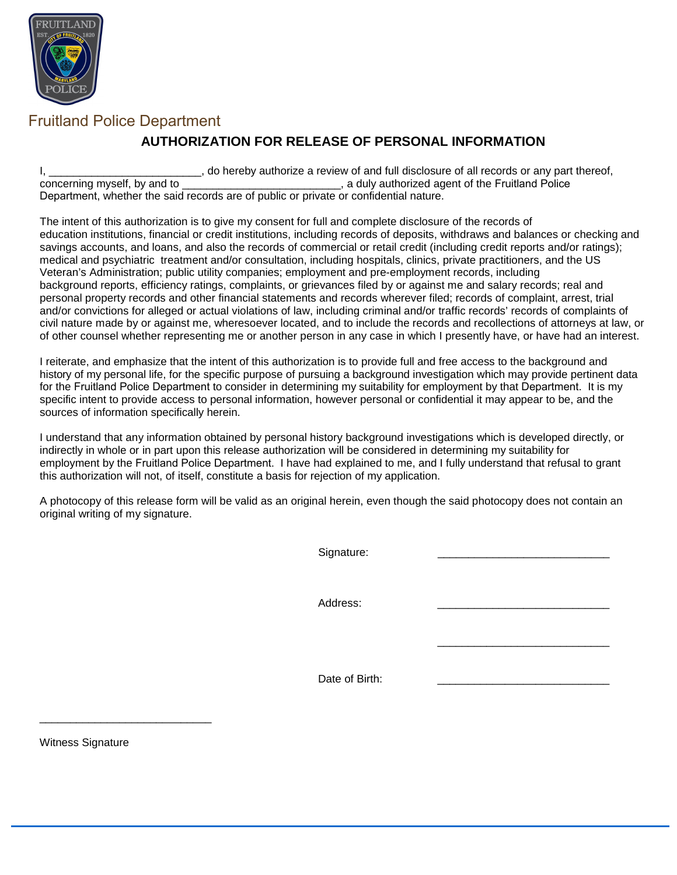

## **AUTHORIZATION FOR RELEASE OF PERSONAL INFORMATION**

I, \_\_\_\_\_\_\_\_\_\_\_\_\_\_\_\_\_\_\_\_\_\_\_\_, do hereby authorize a review of and full disclosure of all records or any part thereof, concerning myself, by and to  $\overline{a}$ , a duly authorized agent of the Fruitland Police , a duly authorized agent of the Fruitland Police Department, whether the said records are of public or private or confidential nature.

The intent of this authorization is to give my consent for full and complete disclosure of the records of education institutions, financial or credit institutions, including records of deposits, withdraws and balances or checking and savings accounts, and loans, and also the records of commercial or retail credit (including credit reports and/or ratings); medical and psychiatric treatment and/or consultation, including hospitals, clinics, private practitioners, and the US Veteran's Administration; public utility companies; employment and pre-employment records, including background reports, efficiency ratings, complaints, or grievances filed by or against me and salary records; real and personal property records and other financial statements and records wherever filed; records of complaint, arrest, trial and/or convictions for alleged or actual violations of law, including criminal and/or traffic records' records of complaints of civil nature made by or against me, wheresoever located, and to include the records and recollections of attorneys at law, or of other counsel whether representing me or another person in any case in which I presently have, or have had an interest.

I reiterate, and emphasize that the intent of this authorization is to provide full and free access to the background and history of my personal life, for the specific purpose of pursuing a background investigation which may provide pertinent data for the Fruitland Police Department to consider in determining my suitability for employment by that Department. It is my specific intent to provide access to personal information, however personal or confidential it may appear to be, and the sources of information specifically herein.

I understand that any information obtained by personal history background investigations which is developed directly, or indirectly in whole or in part upon this release authorization will be considered in determining my suitability for employment by the Fruitland Police Department. I have had explained to me, and I fully understand that refusal to grant this authorization will not, of itself, constitute a basis for rejection of my application.

A photocopy of this release form will be valid as an original herein, even though the said photocopy does not contain an original writing of my signature.

Signature:

Address:

Date of Birth:

\_\_\_\_\_\_\_\_\_\_\_\_\_\_\_\_\_\_\_\_\_\_\_\_\_\_\_\_

Witness Signature

\_\_\_\_\_\_\_\_\_\_\_\_\_\_\_\_\_\_\_\_\_\_\_\_\_\_\_\_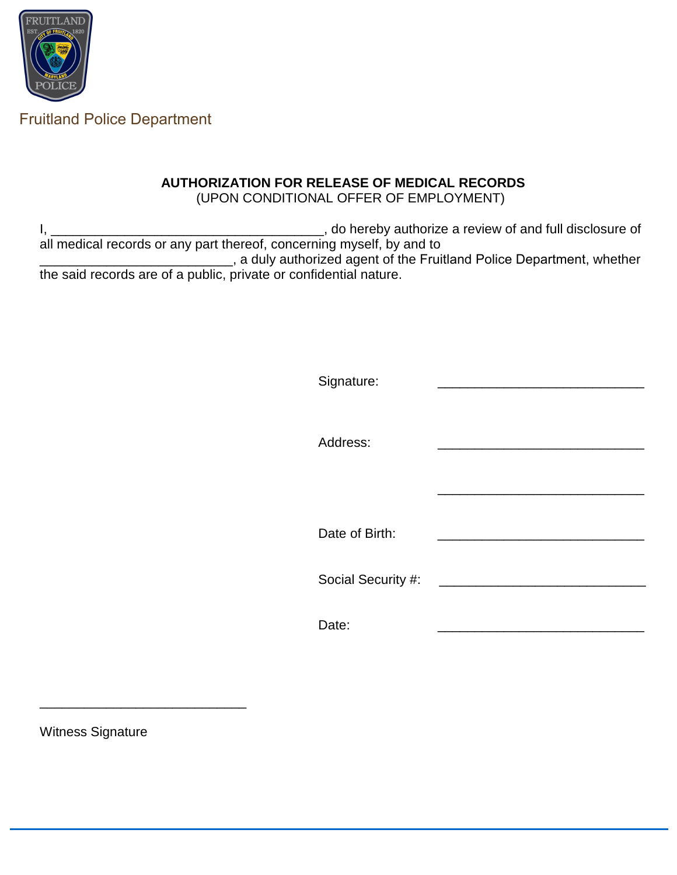

#### **AUTHORIZATION FOR RELEASE OF MEDICAL RECORDS** (UPON CONDITIONAL OFFER OF EMPLOYMENT)

I, \_\_\_\_\_\_\_\_\_\_\_\_\_\_\_\_\_\_\_\_\_\_\_\_\_\_\_\_\_\_\_\_\_\_\_\_\_, do hereby authorize a review of and full disclosure of all medical records or any part thereof, concerning myself, by and to Lettum and uly authorized agent of the Fruitland Police Department, whether the said records are of a public, private or confidential nature.

| Signature:         |                                               |
|--------------------|-----------------------------------------------|
| Address:           |                                               |
|                    |                                               |
| Date of Birth:     |                                               |
| Social Security #: | <u> 1980 - Andrea Andrew Maria (h. 1980).</u> |
| Date:              |                                               |

Witness Signature

\_\_\_\_\_\_\_\_\_\_\_\_\_\_\_\_\_\_\_\_\_\_\_\_\_\_\_\_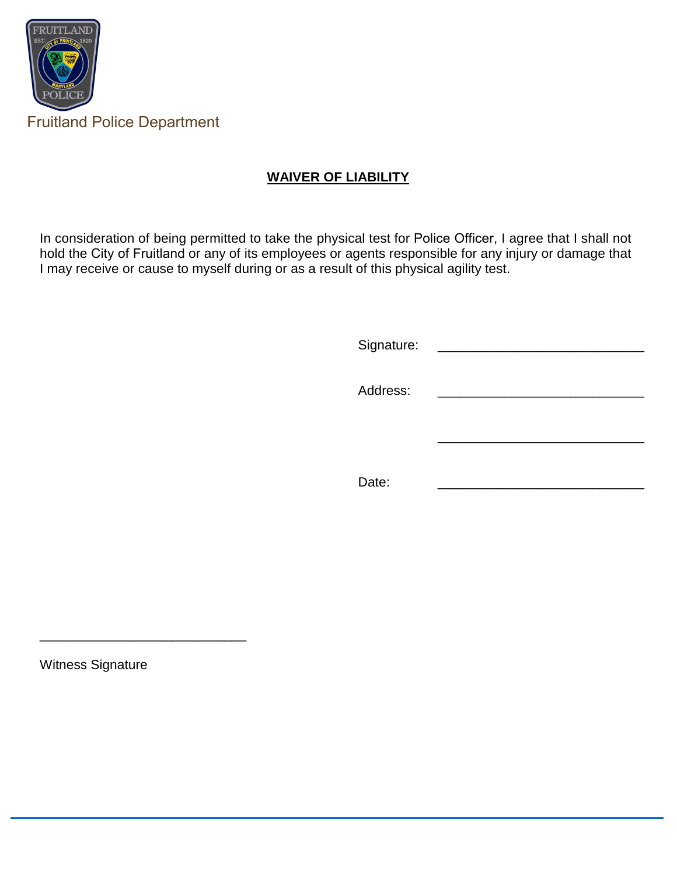

### **WAIVER OF LIABILITY**

In consideration of being permitted to take the physical test for Police Officer, I agree that I shall not hold the City of Fruitland or any of its employees or agents responsible for any injury or damage that I may receive or cause to myself during or as a result of this physical agility test.

| Signature: |  |
|------------|--|
| Address:   |  |
|            |  |
| Date:      |  |

Witness Signature

\_\_\_\_\_\_\_\_\_\_\_\_\_\_\_\_\_\_\_\_\_\_\_\_\_\_\_\_